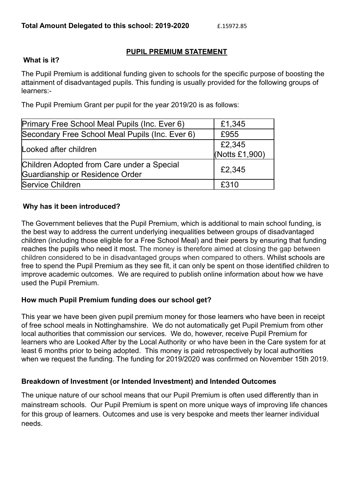### **PUPIL PREMIUM STATEMENT**

#### **What is it?**

The Pupil Premium is additional funding given to schools for the specific purpose of boosting the attainment of disadvantaged pupils. This funding is usually provided for the following groups of learners:-

The Pupil Premium Grant per pupil for the year 2019/20 is as follows:

| Primary Free School Meal Pupils (Inc. Ever 6)                                 | £1,345                   |
|-------------------------------------------------------------------------------|--------------------------|
| Secondary Free School Meal Pupils (Inc. Ever 6)                               | £955                     |
| Looked after children                                                         | £2,345<br>(Notts £1,900) |
| Children Adopted from Care under a Special<br>Guardianship or Residence Order | £2,345                   |
| Service Children                                                              | £310                     |

### **Why has it been introduced?**

The Government believes that the Pupil Premium, which is additional to main school funding, is the best way to address the current underlying inequalities between groups of disadvantaged children (including those eligible for a Free School Meal) and their peers by ensuring that funding reaches the pupils who need it most. The money is therefore aimed at closing the gap between children considered to be in disadvantaged groups when compared to others. Whilst schools are free to spend the Pupil Premium as they see fit, it can only be spent on those identified children to improve academic outcomes. We are required to publish online information about how we have used the Pupil Premium.

### **How much Pupil Premium funding does our school get?**

This year we have been given pupil premium money for those learners who have been in receipt of free school meals in Nottinghamshire. We do not automatically get Pupil Premium from other local authorities that commission our services. We do, however, receive Pupil Premium for learners who are Looked After by the Local Authority or who have been in the Care system for at least 6 months prior to being adopted. This money is paid retrospectively by local authorities when we request the funding. The funding for 2019/2020 was confirmed on November 15th 2019.

### **Breakdown of Investment (or Intended Investment) and Intended Outcomes**

The unique nature of our school means that our Pupil Premium is often used differently than in mainstream schools. Our Pupil Premium is spent on more unique ways of improving life chances for this group of learners. Outcomes and use is very bespoke and meets ther learner individual needs.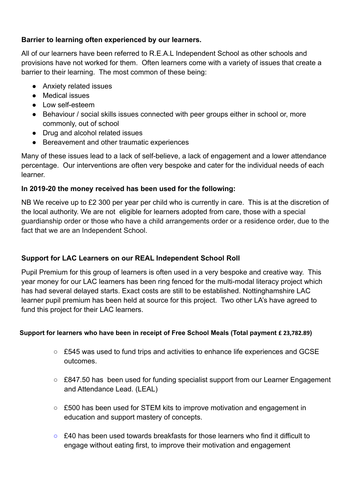### **Barrier to learning often experienced by our learners.**

All of our learners have been referred to R.E.A.L Independent School as other schools and provisions have not worked for them. Often learners come with a variety of issues that create a barrier to their learning. The most common of these being:

- Anxiety related issues
- Medical issues
- Low self-esteem
- Behaviour / social skills issues connected with peer groups either in school or, more commonly, out of school
- Drug and alcohol related issues
- Bereavement and other traumatic experiences

Many of these issues lead to a lack of self-believe, a lack of engagement and a lower attendance percentage. Our interventions are often very bespoke and cater for the individual needs of each learner.

### **In 2019-20 the money received has been used for the following:**

NB We receive up to £2 300 per year per child who is currently in care. This is at the discretion of the local authority. We are not eligible for learners adopted from care, those with a special guardianship order or those who have a child arrangements order or a residence order, due to the fact that we are an Independent School.

# **Support for LAC Learners on our REAL Independent School Roll**

Pupil Premium for this group of learners is often used in a very bespoke and creative way. This year money for our LAC learners has been ring fenced for the multi-modal literacy project which has had several delayed starts. Exact costs are still to be established. Nottinghamshire LAC learner pupil premium has been held at source for this project. Two other LA's have agreed to fund this project for their LAC learners.

### **Support for learners who have been in receipt of Free School Meals (Total payment £ 23,782.89)**

- £545 was used to fund trips and activities to enhance life experiences and GCSE outcomes.
- £847.50 has been used for funding specialist support from our Learner Engagement and Attendance Lead. (LEAL)
- £500 has been used for STEM kits to improve motivation and engagement in education and support mastery of concepts.
- $\circ$  £40 has been used towards breakfasts for those learners who find it difficult to engage without eating first, to improve their motivation and engagement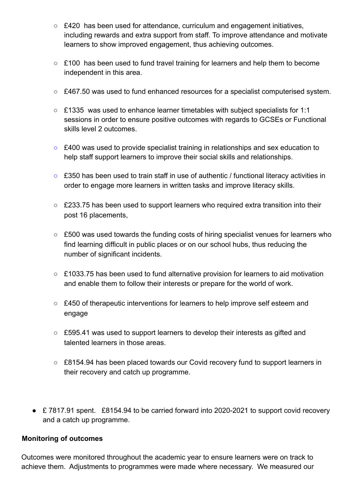- £420 has been used for attendance, curriculum and engagement initiatives, including rewards and extra support from staff. To improve attendance and motivate learners to show improved engagement, thus achieving outcomes.
- £100 has been used to fund travel training for learners and help them to become independent in this area.
- £467.50 was used to fund enhanced resources for a specialist computerised system.
- £1335 was used to enhance learner timetables with subject specialists for 1:1 sessions in order to ensure positive outcomes with regards to GCSEs or Functional skills level 2 outcomes.
- £400 was used to provide specialist training in relationships and sex education to help staff support learners to improve their social skills and relationships.
- £350 has been used to train staff in use of authentic / functional literacy activities in order to engage more learners in written tasks and improve literacy skills.
- £233.75 has been used to support learners who required extra transition into their post 16 placements,
- £500 was used towards the funding costs of hiring specialist venues for learners who find learning difficult in public places or on our school hubs, thus reducing the number of significant incidents.
- £1033.75 has been used to fund alternative provision for learners to aid motivation and enable them to follow their interests or prepare for the world of work.
- £450 of therapeutic interventions for learners to help improve self esteem and engage
- £595.41 was used to support learners to develop their interests as gifted and talented learners in those areas.
- £8154.94 has been placed towards our Covid recovery fund to support learners in their recovery and catch up programme.
- £7817.91 spent. £8154.94 to be carried forward into 2020-2021 to support covid recovery and a catch up programme.

### **Monitoring of outcomes**

Outcomes were monitored throughout the academic year to ensure learners were on track to achieve them. Adjustments to programmes were made where necessary. We measured our